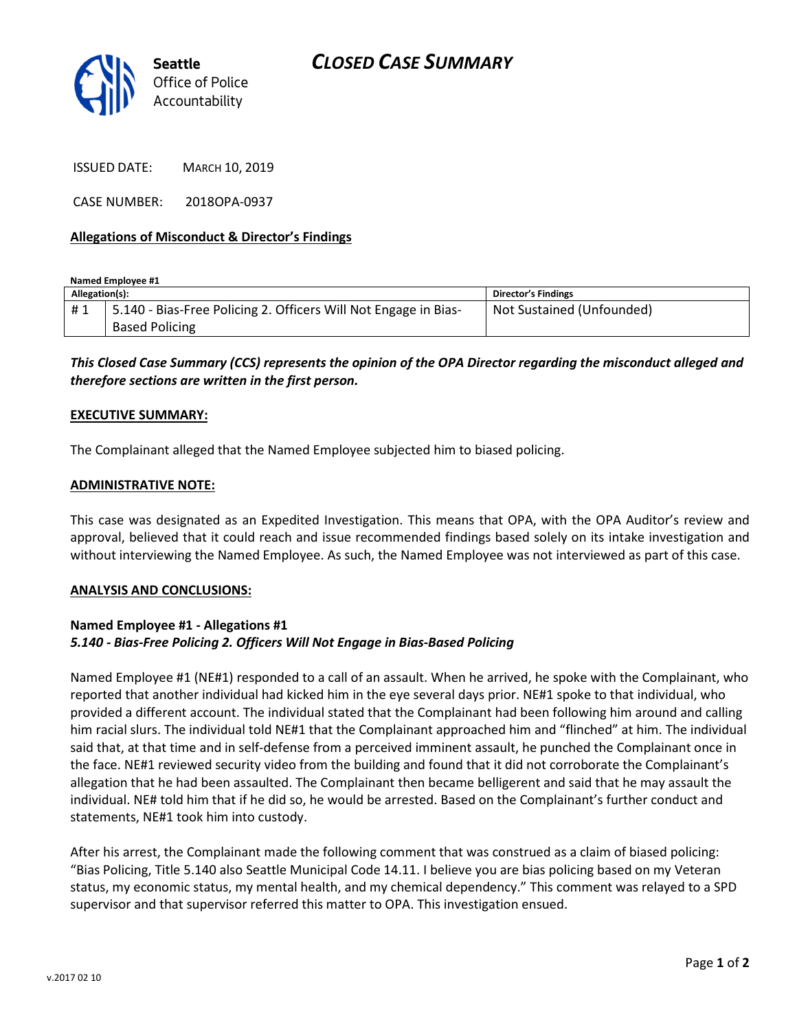

ISSUED DATE: MARCH 10, 2019

CASE NUMBER: 2018OPA-0937

## Allegations of Misconduct & Director's Findings

Named Employee #1

| Allegation(s): |                                                                 | <b>Director's Findings</b> |
|----------------|-----------------------------------------------------------------|----------------------------|
| #1             | 5.140 - Bias-Free Policing 2. Officers Will Not Engage in Bias- | Not Sustained (Unfounded)  |
|                | <b>Based Policing</b>                                           |                            |

This Closed Case Summary (CCS) represents the opinion of the OPA Director regarding the misconduct alleged and therefore sections are written in the first person.

### EXECUTIVE SUMMARY:

The Complainant alleged that the Named Employee subjected him to biased policing.

#### ADMINISTRATIVE NOTE:

This case was designated as an Expedited Investigation. This means that OPA, with the OPA Auditor's review and approval, believed that it could reach and issue recommended findings based solely on its intake investigation and without interviewing the Named Employee. As such, the Named Employee was not interviewed as part of this case.

#### ANALYSIS AND CONCLUSIONS:

# Named Employee #1 - Allegations #1 5.140 - Bias-Free Policing 2. Officers Will Not Engage in Bias-Based Policing

Named Employee #1 (NE#1) responded to a call of an assault. When he arrived, he spoke with the Complainant, who reported that another individual had kicked him in the eye several days prior. NE#1 spoke to that individual, who provided a different account. The individual stated that the Complainant had been following him around and calling him racial slurs. The individual told NE#1 that the Complainant approached him and "flinched" at him. The individual said that, at that time and in self-defense from a perceived imminent assault, he punched the Complainant once in the face. NE#1 reviewed security video from the building and found that it did not corroborate the Complainant's allegation that he had been assaulted. The Complainant then became belligerent and said that he may assault the individual. NE# told him that if he did so, he would be arrested. Based on the Complainant's further conduct and statements, NE#1 took him into custody.

After his arrest, the Complainant made the following comment that was construed as a claim of biased policing: "Bias Policing, Title 5.140 also Seattle Municipal Code 14.11. I believe you are bias policing based on my Veteran status, my economic status, my mental health, and my chemical dependency." This comment was relayed to a SPD supervisor and that supervisor referred this matter to OPA. This investigation ensued.